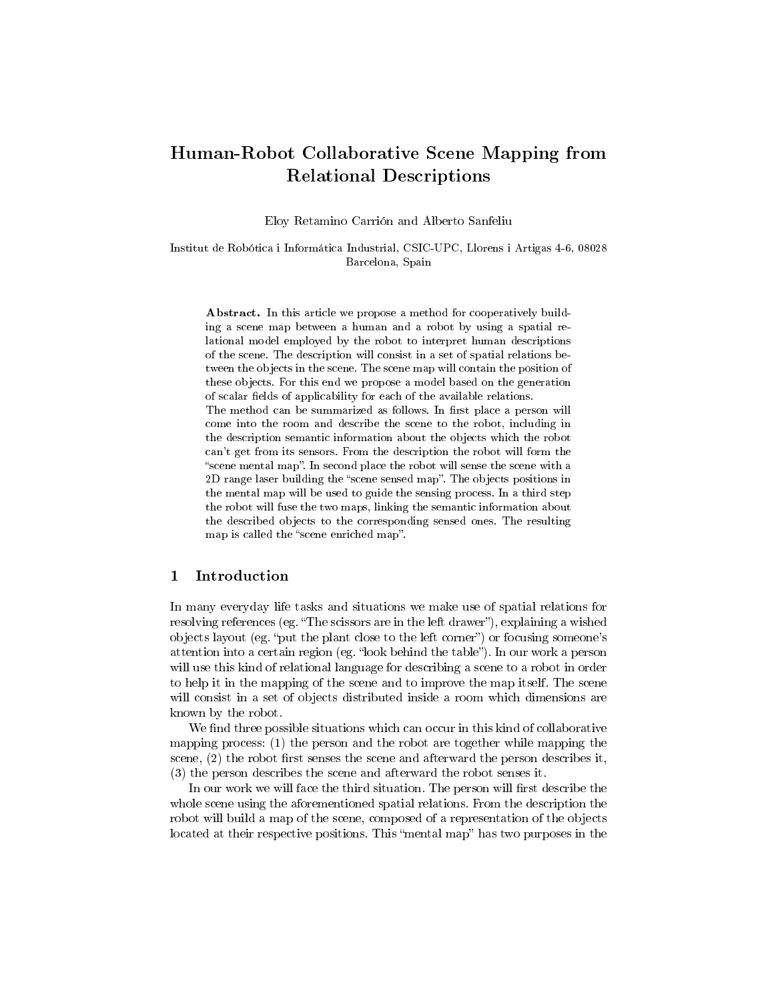# Human-Robot Collaborative Scene Mapping from Relational Descriptions

Eloy Retamino Carrión and Alberto Sanfeliu

Institut de Robótica i Informática Industrial, CSIC-UPC, Llorens i Artigas 4-6, 08028 Barcelona, Spain

Abstract. In this article we propose a method for cooperatively building a scene map between a human and a robot by using a spatial relational model employed by the robot to interpret human descriptions of the scene. The description will consist in a set of spatial relations between the objects in the scene. The scene map will contain the position of these objects. For this end we propose a model based on the generation of scalar fields of applicability for each of the available relations. The method can be summarized as follows. In first place a person will come into the room and describe the scene to the robot, including in the description semantic information about the objects which the robot can't get from its sensors. From the description the robot will form the "scene mental map". In second place the robot will sense the scene with a 2D range laser building the "scene sensed map". The objects positions in the mental map will be used to guide the sensing process. In a third step the robot will fuse the two maps, linking the semantic information about the described objects to the corresponding sensed ones. The resulting map is called the "scene enriched map".

### 1 Introduction

In many everyday life tasks and situations we make use of spatial relations for resolving references (eg. "The scissors are in the left drawer"), explaining a wished objects layout (eg. "put the plant close to the left corner") or focusing someone's attention into a certain region (eg. "look behind the table"). In our work a person will use this kind of relational language for describing a scene to a robot in order to help it in the mapping of the scene and to improve the map itself. The scene will consist in a set of objects distributed inside a room which dimensions are known by the robot.

We find three possible situations which can occur in this kind of collaborative mapping process: (1) the person and the robot are together while mapping the scene,  $(2)$  the robot first senses the scene and afterward the person describes it, (3) the person describes the scene and afterward the robot senses it.

In our work we will face the third situation. The person will first describe the whole scene using the aforementioned spatial relations. From the description the robot will build a map of the scene, composed of a representation of the objects located at their respective positions. This "mental map" has two purposes in the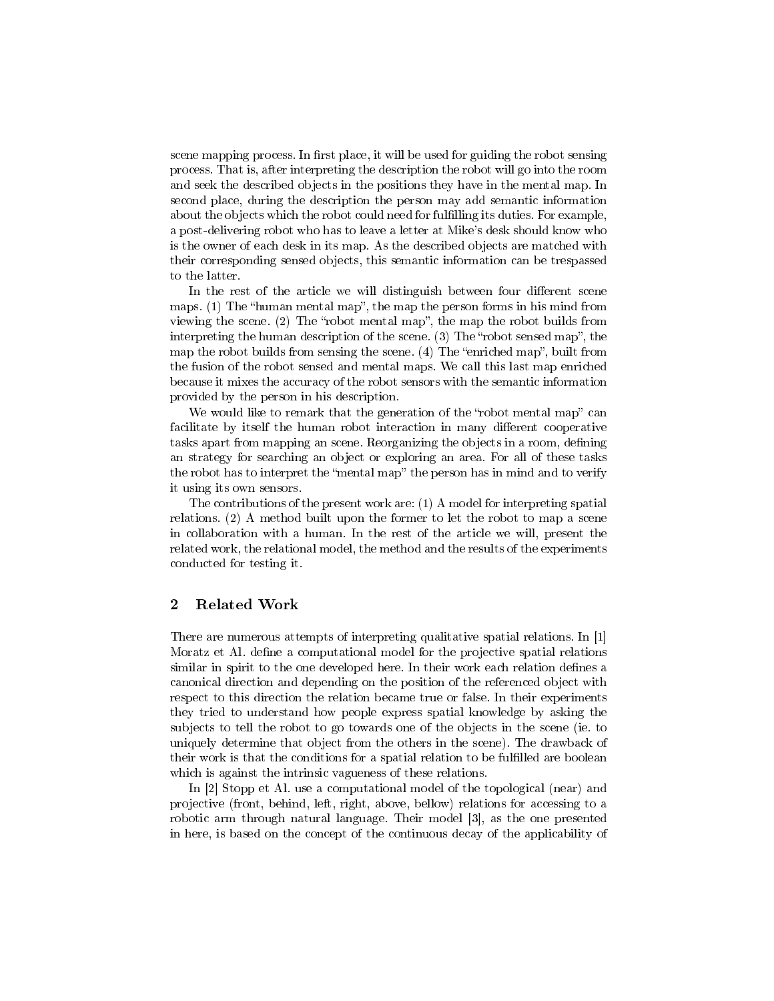scene mapping process. In first place, it will be used for guiding the robot sensing process. That is, after interpreting the description the robot will go into the room and seek the described objects in the positions they have in the mental map. In second place, during the description the person may add semantic information about the objects which the robot could need for fulfilling its duties. For example, a post-delivering robot who has to leave a letter at Mike's desk should know who is the owner of each desk in its map. As the described objects are matched with their corresponding sensed objects, this semantic information can be trespassed to the latter.

In the rest of the article we will distinguish between four different scene maps.  $(1)$  The "human mental map", the map the person forms in his mind from viewing the scene. (2) The "robot mental map", the map the robot builds from interpreting the human description of the scene.  $(3)$  The "robot sensed map", the map the robot builds from sensing the scene. (4) The "enriched map", built from the fusion of the robot sensed and mental maps. We call this last map enriched because it mixes the accuracy of the robot sensors with the semantic information provided by the person in his description.

We would like to remark that the generation of the "robot mental map" can facilitate by itself the human robot interaction in many different cooperative tasks apart from mapping an scene. Reorganizing the objects in a room, defining an strategy for searching an object or exploring an area. For all of these tasks the robot has to interpret the "mental map" the person has in mind and to verify it using its own sensors.

The contributions of the present work are: (1) A model for interpreting spatial relations. (2) A method built upon the former to let the robot to map a scene in collaboration with a human. In the rest of the article we will, present the related work, the relational model, the method and the results of the experiments conducted for testing it.

## 2 Related Work

There are numerous attempts of interpreting qualitative spatial relations. In [1] Moratz et Al. define a computational model for the projective spatial relations similar in spirit to the one developed here. In their work each relation defines a canonical direction and depending on the position of the referenced object with respect to this direction the relation became true or false. In their experiments they tried to understand how people express spatial knowledge by asking the subjects to tell the robot to go towards one of the objects in the scene (ie. to uniquely determine that object from the others in the scene). The drawback of their work is that the conditions for a spatial relation to be fulfilled are boolean which is against the intrinsic vagueness of these relations.

In [2] Stopp et Al. use a computational model of the topological (near) and projective (front, behind, left, right, above, bellow) relations for accessing to a robotic arm through natural language. Their model [3], as the one presented in here, is based on the concept of the continuous decay of the applicability of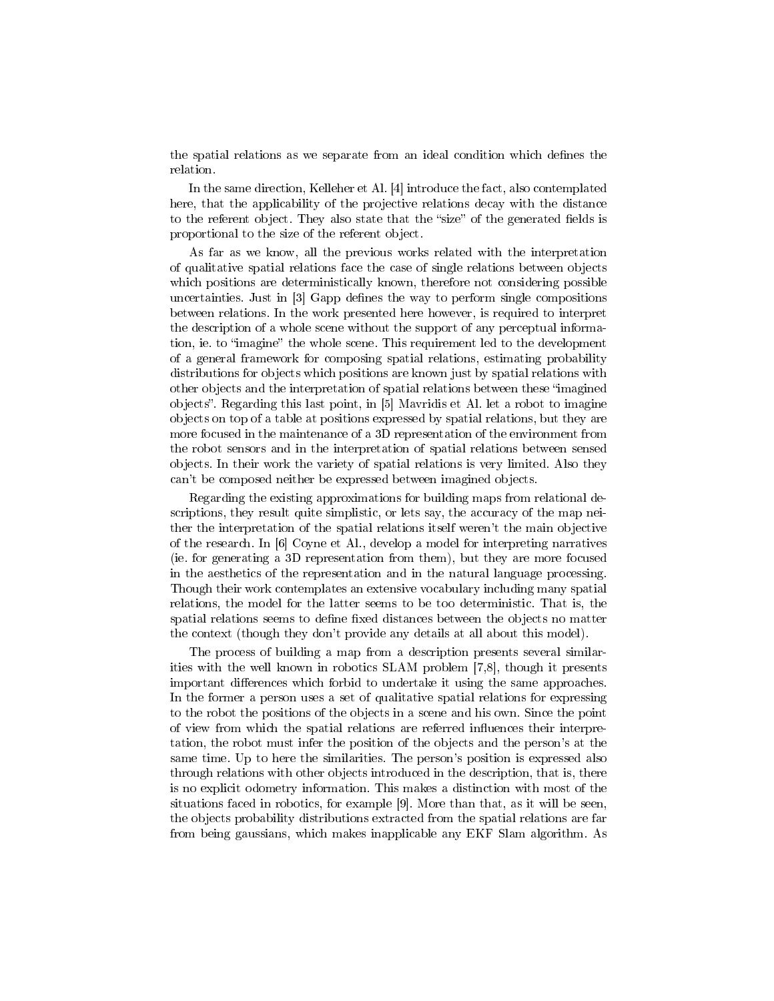the spatial relations as we separate from an ideal condition which defines the relation.

In the same direction, Kelleher et Al. [4] introduce the fact, also contemplated here, that the applicability of the projective relations decay with the distance to the referent object. They also state that the "size" of the generated fields is proportional to the size of the referent object.

As far as we know, all the previous works related with the interpretation of qualitative spatial relations face the case of single relations between objects which positions are deterministically known, therefore not considering possible uncertainties. Just in  $[3]$  Gapp defines the way to perform single compositions between relations. In the work presented here however, is required to interpret the description of a whole scene without the support of any perceptual information, ie. to "imagine" the whole scene. This requirement led to the development of a general framework for composing spatial relations, estimating probability distributions for objects which positions are known just by spatial relations with other objects and the interpretation of spatial relations between these "imagined objects". Regarding this last point, in [5] Mavridis et Al. let a robot to imagine objects on top of a table at positions expressed by spatial relations, but they are more focused in the maintenance of a 3D representation of the environment from the robot sensors and in the interpretation of spatial relations between sensed objects. In their work the variety of spatial relations is very limited. Also they can't be composed neither be expressed between imagined objects.

Regarding the existing approximations for building maps from relational descriptions, they result quite simplistic, or lets say, the accuracy of the map neither the interpretation of the spatial relations itself weren't the main objective of the research. In [6] Coyne et Al., develop a model for interpreting narratives (ie. for generating a 3D representation from them), but they are more focused in the aesthetics of the representation and in the natural language processing. Though their work contemplates an extensive vocabulary including many spatial relations, the model for the latter seems to be too deterministic. That is, the spatial relations seems to define fixed distances between the objects no matter the context (though they don't provide any details at all about this model).

The process of building a map from a description presents several similarities with the well known in robotics SLAM problem [7,8], though it presents important differences which forbid to undertake it using the same approaches. In the former a person uses a set of qualitative spatial relations for expressing to the robot the positions of the objects in a scene and his own. Since the point of view from which the spatial relations are referred influences their interpretation, the robot must infer the position of the objects and the person's at the same time. Up to here the similarities. The person's position is expressed also through relations with other objects introduced in the description, that is, there is no explicit odometry information. This makes a distinction with most of the situations faced in robotics, for example [9]. More than that, as it will be seen, the objects probability distributions extracted from the spatial relations are far from being gaussians, which makes inapplicable any EKF Slam algorithm. As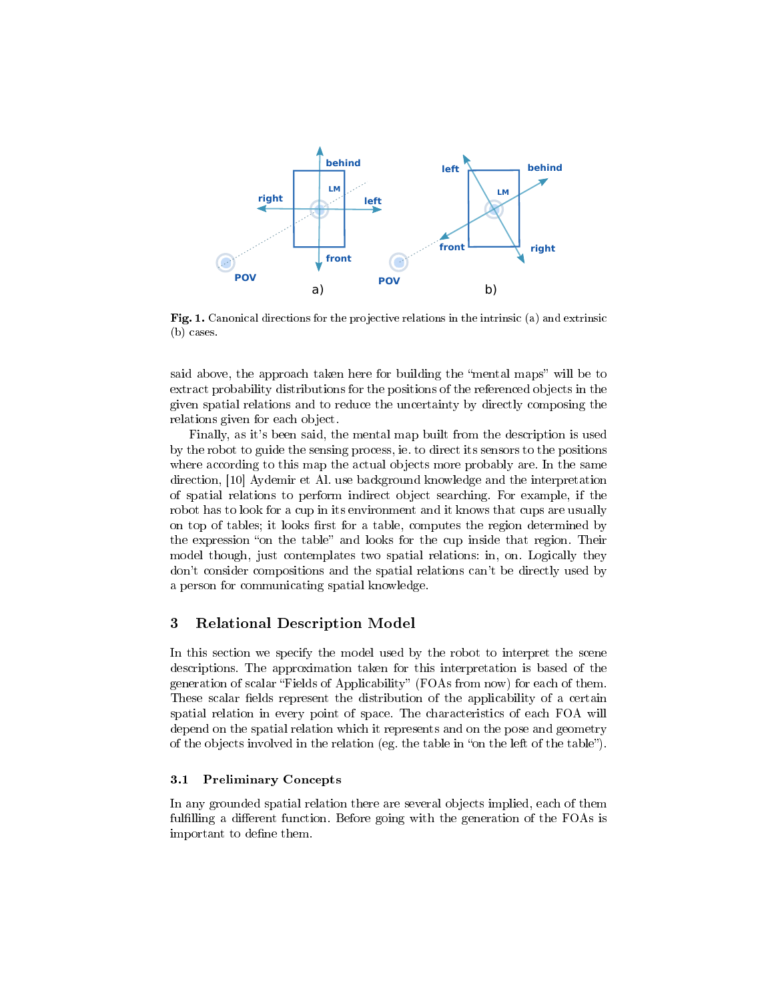

Fig. 1. Canonical directions for the projective relations in the intrinsic (a) and extrinsic (b) cases.

said above, the approach taken here for building the "mental maps" will be to extract probability distributions for the positions of the referenced objects in the given spatial relations and to reduce the uncertainty by directly composing the relations given for each object.

Finally, as it's been said, the mental map built from the description is used by the robot to guide the sensing process, ie. to direct its sensors to the positions where according to this map the actual objects more probably are. In the same direction, [10] Aydemir et Al. use background knowledge and the interpretation of spatial relations to perform indirect object searching. For example, if the robot has to look for a cup in its environment and it knows that cups are usually on top of tables; it looks first for a table, computes the region determined by the expression "on the table" and looks for the cup inside that region. Their model though, just contemplates two spatial relations: in, on. Logically they don't consider compositions and the spatial relations can't be directly used by a person for communicating spatial knowledge.

## 3 Relational Description Model

In this section we specify the model used by the robot to interpret the scene descriptions. The approximation taken for this interpretation is based of the generation of scalar "Fields of Applicability" (FOAs from now) for each of them. These scalar fields represent the distribution of the applicability of a certain spatial relation in every point of space. The characteristics of each FOA will depend on the spatial relation which it represents and on the pose and geometry of the objects involved in the relation (eg. the table in "on the left of the table").

### 3.1 Preliminary Concepts

In any grounded spatial relation there are several objects implied, each of them fulfilling a different function. Before going with the generation of the FOAs is important to define them.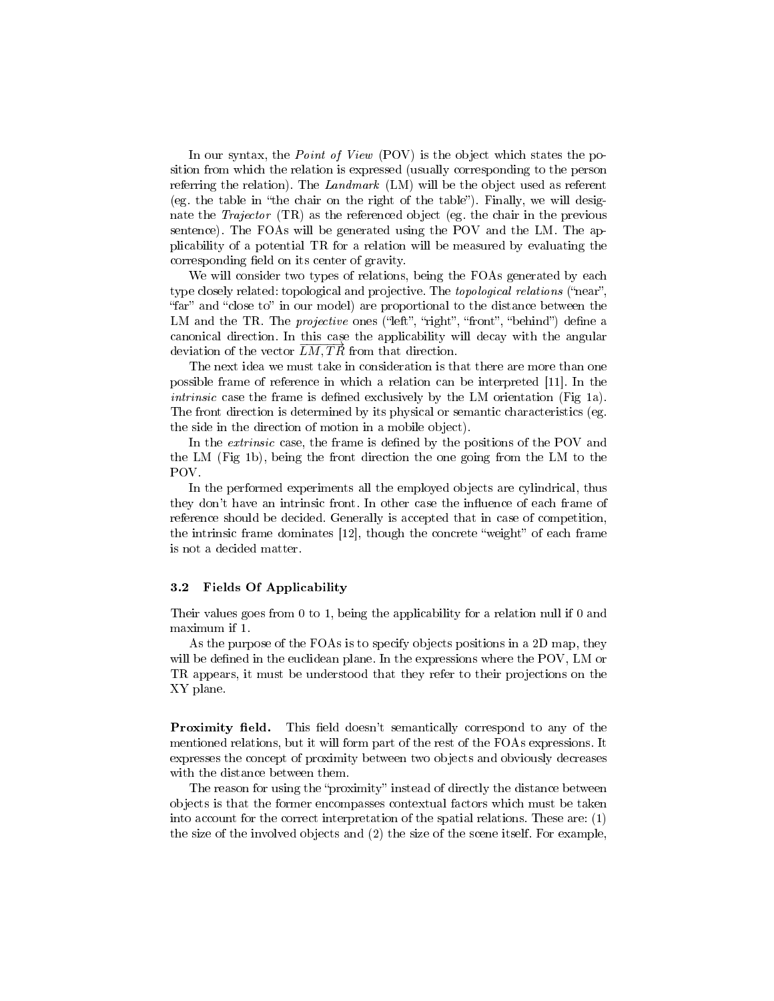In our syntax, the *Point of View* (POV) is the object which states the position from which the relation is expressed (usually corresponding to the person referring the relation). The Landmark (LM) will be the object used as referent (eg. the table in "the chair on the right of the table"). Finally, we will designate the Trajector (TR) as the referenced object (eg. the chair in the previous sentence). The FOAs will be generated using the POV and the LM. The applicability of a potential TR for a relation will be measured by evaluating the corresponding field on its center of gravity.

We will consider two types of relations, being the FOAs generated by each type closely related: topological and projective. The *topological relations* ("near", "far" and "close to" in our model) are proportional to the distance between the LM and the TR. The *projective* ones ("left", "right", "front", "behind") define a canonical direction. In this case the applicability will decay with the angular deviation of the vector  $\overline{LM,TR}$  from that direction.

The next idea we must take in consideration is that there are more than one possible frame of reference in which a relation can be interpreted [11]. In the *intrinsic* case the frame is defined exclusively by the LM orientation (Fig 1a). The front direction is determined by its physical or semantic characteristics (eg. the side in the direction of motion in a mobile object).

In the *extrinsic* case, the frame is defined by the positions of the POV and the LM (Fig 1b), being the front direction the one going from the LM to the POV.

In the performed experiments all the employed objects are cylindrical, thus they don't have an intrinsic front. In other case the influence of each frame of reference should be decided. Generally is accepted that in case of competition, the intrinsic frame dominates  $[12]$ , though the concrete "weight" of each frame is not a decided matter.

#### 3.2 Fields Of Applicability

Their values goes from 0 to 1, being the applicability for a relation null if 0 and maximum if 1.

As the purpose of the FOAs is to specify objects positions in a 2D map, they will be defined in the euclidean plane. In the expressions where the POV, LM or TR appears, it must be understood that they refer to their projections on the XY plane.

**Proximity field.** This field doesn't semantically correspond to any of the mentioned relations, but it will form part of the rest of the FOAs expressions. It expresses the concept of proximity between two objects and obviously decreases with the distance between them.

The reason for using the "proximity" instead of directly the distance between objects is that the former encompasses contextual factors which must be taken into account for the correct interpretation of the spatial relations. These are: (1) the size of the involved objects and (2) the size of the scene itself. For example,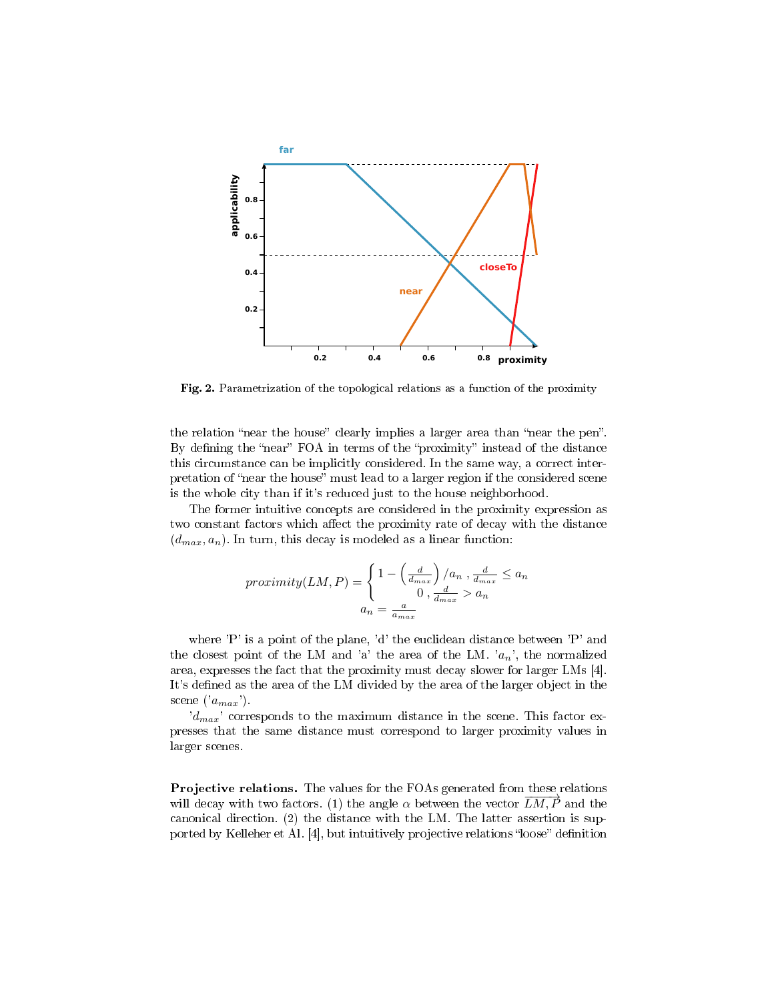

Fig. 2. Parametrization of the topological relations as a function of the proximity

the relation "near the house" clearly implies a larger area than "near the pen". By defining the "near" FOA in terms of the "proximity" instead of the distance this circumstance can be implicitly considered. In the same way, a correct interpretation of "near the house" must lead to a larger region if the considered scene is the whole city than if it's reduced just to the house neighborhood.

The former intuitive concepts are considered in the proximity expression as two constant factors which affect the proximity rate of decay with the distance  $(d_{max}, a_n)$ . In turn, this decay is modeled as a linear function:

$$
proximity(LM, P) = \begin{cases} 1 - \left(\frac{d}{d_{max}}\right) / a_n, \frac{d}{d_{max}} \le a_n \\ 0, \frac{d}{d_{max}} > a_n \end{cases}
$$

$$
a_n = \frac{a}{a_{max}}
$$

where 'P' is a point of the plane, 'd' the euclidean distance between 'P' and the closest point of the LM and 'a' the area of the LM.  $a_n$ ', the normalized area, expresses the fact that the proximity must decay slower for larger LMs [4]. It's defined as the area of the LM divided by the area of the larger object in the scene  $(a_{max})$ .

 $d_{max}$ ' corresponds to the maximum distance in the scene. This factor expresses that the same distance must correspond to larger proximity values in larger scenes.

Projective relations. The values for the FOAs generated from these relations will decay with two factors. (1) the angle  $\alpha$  between the vector  $\overline{LM}, \overline{P}$  and the canonical direction. (2) the distance with the LM. The latter assertion is supported by Kelleher et Al. [4], but intuitively projective relations "loose" definition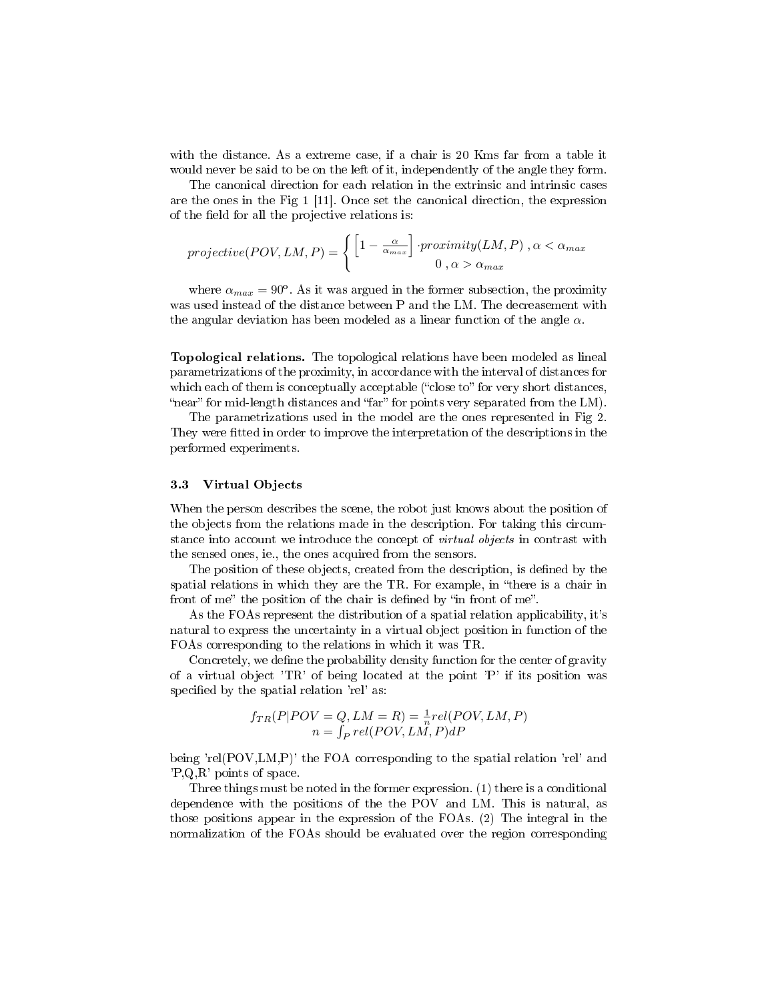with the distance. As a extreme case, if a chair is 20 Kms far from a table it would never be said to be on the left of it, independently of the angle they form.

The canonical direction for each relation in the extrinsic and intrinsic cases are the ones in the Fig 1 [11]. Once set the canonical direction, the expression of the field for all the projective relations is:

$$
projective(POV, LM, P) = \begin{cases} \left[1 - \frac{\alpha}{\alpha_{max}}\right] \cdot proximity(LM, P) , \alpha < \alpha_{max} \\ 0 , \alpha > \alpha_{max} \end{cases}
$$

where  $\alpha_{max} = 90^{\circ}$ . As it was argued in the former subsection, the proximity was used instead of the distance between P and the LM. The decreasement with the angular deviation has been modeled as a linear function of the angle  $\alpha$ .

Topological relations. The topological relations have been modeled as lineal parametrizations of the proximity, in accordance with the interval of distances for which each of them is conceptually acceptable ("close to" for very short distances, "near" for mid-length distances and "far" for points very separated from the  $LM$ ).

The parametrizations used in the model are the ones represented in Fig 2. They were fitted in order to improve the interpretation of the descriptions in the performed experiments.

#### 3.3 Virtual Objects

When the person describes the scene, the robot just knows about the position of the objects from the relations made in the description. For taking this circumstance into account we introduce the concept of *virtual objects* in contrast with the sensed ones, ie., the ones acquired from the sensors.

The position of these objects, created from the description, is defined by the spatial relations in which they are the TR. For example, in "there is a chair in front of me" the position of the chair is defined by "in front of me".

As the FOAs represent the distribution of a spatial relation applicability, it's natural to express the uncertainty in a virtual object position in function of the FOAs corresponding to the relations in which it was TR.

Concretely, we define the probability density function for the center of gravity of a virtual object 'TR' of being located at the point 'P' if its position was specified by the spatial relation 'rel' as:

$$
f_{TR}(P|POV = Q, LM = R) = \frac{1}{n} rel(POV, LM, P)
$$

$$
n = \int_{P} rel(POV, LM, P) dP
$$

being 'rel(POV,LM,P)' the FOA corresponding to the spatial relation 'rel' and 'P,Q,R' points of space.

Three things must be noted in the former expression. (1) there is a conditional dependence with the positions of the the POV and LM. This is natural, as those positions appear in the expression of the FOAs. (2) The integral in the normalization of the FOAs should be evaluated over the region corresponding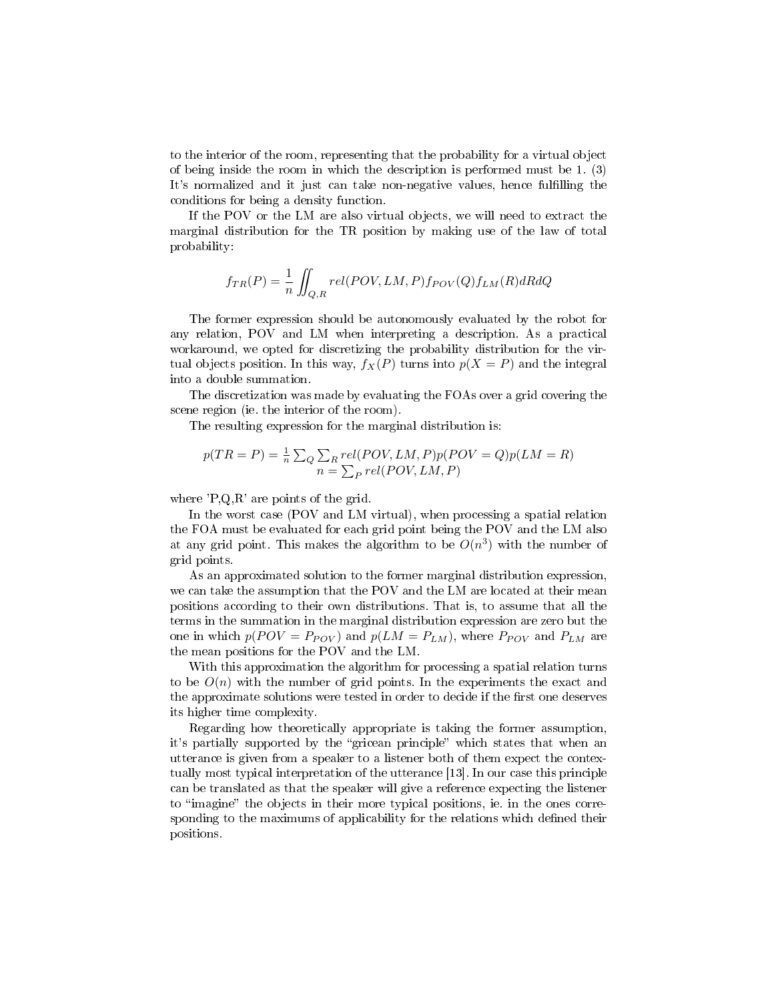to the interior of the room, representing that the probability for a virtual object of being inside the room in which the description is performed must be 1. (3) It's normalized and it just can take non-negative values, hence fullling the conditions for being a density function.

If the POV or the LM are also virtual objects, we will need to extract the marginal distribution for the TR position by making use of the law of total probability:

$$
f_{TR}(P) = \frac{1}{n} \iint_{Q,R} rel(POV, LM, P) f_{POV}(Q) f_{LM}(R) dR dQ
$$

The former expression should be autonomously evaluated by the robot for any relation, POV and LM when interpreting a description. As a practical workaround, we opted for discretizing the probability distribution for the virtual objects position. In this way,  $f_X(P)$  turns into  $p(X = P)$  and the integral into a double summation.

The discretization was made by evaluating the FOAs over a grid covering the scene region (ie. the interior of the room).

The resulting expression for the marginal distribution is:

$$
p(TR = P) = \frac{1}{n} \sum_{Q} \sum_{R} rel(POV, LM, P)p(POV = Q)p(LM = R)
$$

$$
n = \sum_{P} rel(POV, LM, P)
$$

where 'P,Q,R' are points of the grid.

In the worst case (POV and LM virtual), when processing a spatial relation the FOA must be evaluated for each grid point being the POV and the LM also at any grid point. This makes the algorithm to be  $O(n^3)$  with the number of grid points.

As an approximated solution to the former marginal distribution expression, we can take the assumption that the POV and the LM are located at their mean positions according to their own distributions. That is, to assume that all the terms in the summation in the marginal distribution expression are zero but the one in which  $p(POV = P_{POV})$  and  $p(LM = P_{LM})$ , where  $P_{POV}$  and  $P_{LM}$  are the mean positions for the POV and the LM.

With this approximation the algorithm for processing a spatial relation turns to be  $O(n)$  with the number of grid points. In the experiments the exact and the approximate solutions were tested in order to decide if the first one deserves its higher time complexity.

Regarding how theoretically appropriate is taking the former assumption, it's partially supported by the "gricean principle" which states that when an utterance is given from a speaker to a listener both of them expect the contextually most typical interpretation of the utterance [13]. In our case this principle can be translated as that the speaker will give a reference expecting the listener to "imagine" the objects in their more typical positions, ie. in the ones corresponding to the maximums of applicability for the relations which defined their positions.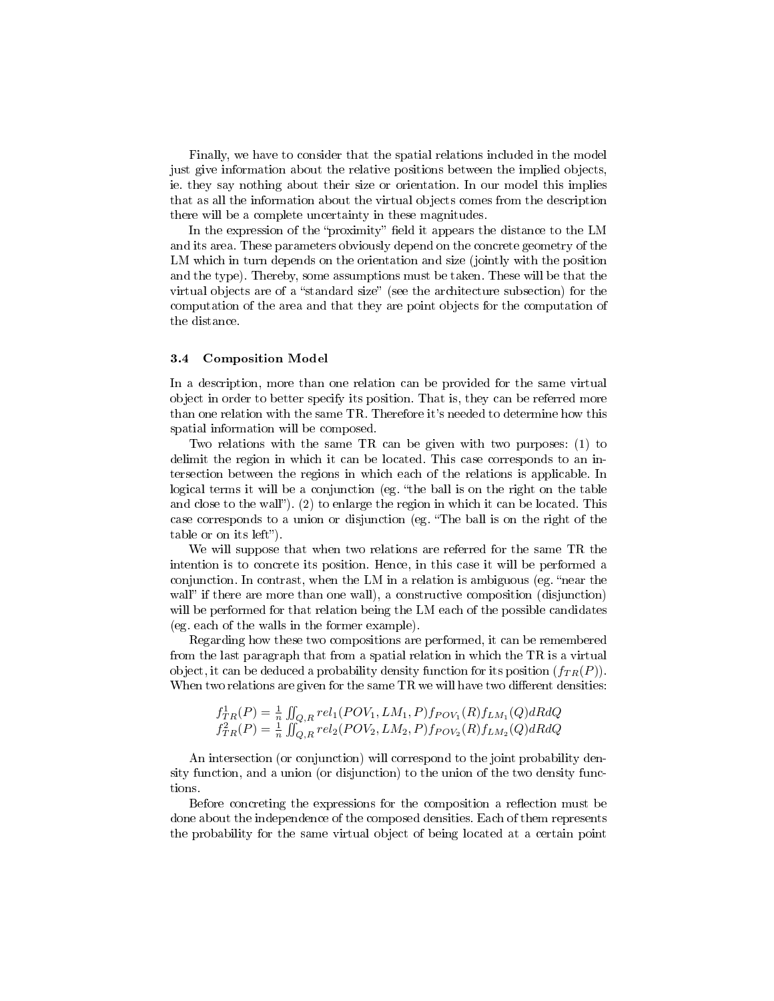Finally, we have to consider that the spatial relations included in the model just give information about the relative positions between the implied objects, ie. they say nothing about their size or orientation. In our model this implies that as all the information about the virtual objects comes from the description there will be a complete uncertainty in these magnitudes.

In the expression of the "proximity" field it appears the distance to the LM and its area. These parameters obviously depend on the concrete geometry of the LM which in turn depends on the orientation and size (jointly with the position and the type). Thereby, some assumptions must be taken. These will be that the virtual objects are of a "standard size" (see the architecture subsection) for the computation of the area and that they are point objects for the computation of the distance.

#### 3.4 Composition Model

In a description, more than one relation can be provided for the same virtual object in order to better specify its position. That is, they can be referred more than one relation with the same TR. Therefore it's needed to determine how this spatial information will be composed.

Two relations with the same TR can be given with two purposes: (1) to delimit the region in which it can be located. This case corresponds to an intersection between the regions in which each of the relations is applicable. In logical terms it will be a conjunction (eg. "the ball is on the right on the table and close to the wall"). (2) to enlarge the region in which it can be located. This case corresponds to a union or disjunction (eg. "The ball is on the right of the table or on its left").

We will suppose that when two relations are referred for the same TR the intention is to concrete its position. Hence, in this case it will be performed a conjunction. In contrast, when the LM in a relation is ambiguous (eg. "near the wall" if there are more than one wall), a constructive composition (disjunction) will be performed for that relation being the LM each of the possible candidates (eg. each of the walls in the former example).

Regarding how these two compositions are performed, it can be remembered from the last paragraph that from a spatial relation in which the TR is a virtual object, it can be deduced a probability density function for its position  $(f_{TR}(P))$ . When two relations are given for the same  $TR$  we will have two different densities:

$$
f_{TR}^1(P) = \frac{1}{n} \iint_{Q,R} rel_1(POV_1, LM_1, P) f_{POV_1}(R) f_{LM_1}(Q) dR dQ
$$
  

$$
f_{TR}^2(P) = \frac{1}{n} \iint_{Q,R} rel_2(POV_2, LM_2, P) f_{POV_2}(R) f_{LM_2}(Q) dR dQ
$$

An intersection (or conjunction) will correspond to the joint probability density function, and a union (or disjunction) to the union of the two density functions.

Before concreting the expressions for the composition a reflection must be done about the independence of the composed densities. Each of them represents the probability for the same virtual object of being located at a certain point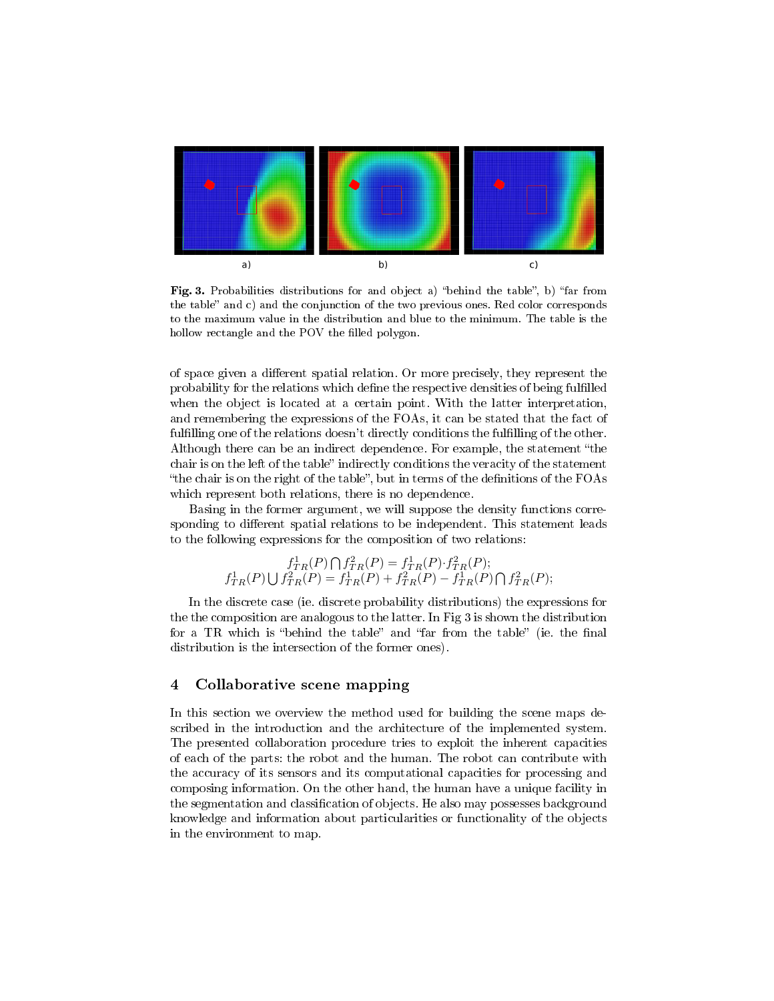

Fig. 3. Probabilities distributions for and object a) "behind the table", b) "far from the table" and c) and the conjunction of the two previous ones. Red color corresponds to the maximum value in the distribution and blue to the minimum. The table is the hollow rectangle and the POV the filled polygon.

of space given a dierent spatial relation. Or more precisely, they represent the probability for the relations which define the respective densities of being fulfilled when the object is located at a certain point. With the latter interpretation, and remembering the expressions of the FOAs, it can be stated that the fact of fulfilling one of the relations doesn't directly conditions the fulfilling of the other. Although there can be an indirect dependence. For example, the statement "the chair is on the left of the table" indirectly conditions the veracity of the statement "the chair is on the right of the table", but in terms of the definitions of the  $FOAs$ which represent both relations, there is no dependence.

Basing in the former argument, we will suppose the density functions corresponding to different spatial relations to be independent. This statement leads to the following expressions for the composition of two relations:

$$
f_{TR}^1(P) \bigcap f_{TR}^2(P) = f_{TR}^1(P) \cdot f_{TR}^2(P);
$$
  

$$
f_{TR}^1(P) \bigcup f_{TR}^2(P) = f_{TR}^1(P) + f_{TR}^2(P) - f_{TR}^1(P) \bigcap f_{TR}^2(P);
$$

In the discrete case (ie. discrete probability distributions) the expressions for the the composition are analogous to the latter. In Fig 3 is shown the distribution for a TR which is "behind the table" and "far from the table" (ie. the final distribution is the intersection of the former ones).

# 4 Collaborative scene mapping

In this section we overview the method used for building the scene maps described in the introduction and the architecture of the implemented system. The presented collaboration procedure tries to exploit the inherent capacities of each of the parts: the robot and the human. The robot can contribute with the accuracy of its sensors and its computational capacities for processing and composing information. On the other hand, the human have a unique facility in the segmentation and classification of objects. He also may possesses background knowledge and information about particularities or functionality of the objects in the environment to map.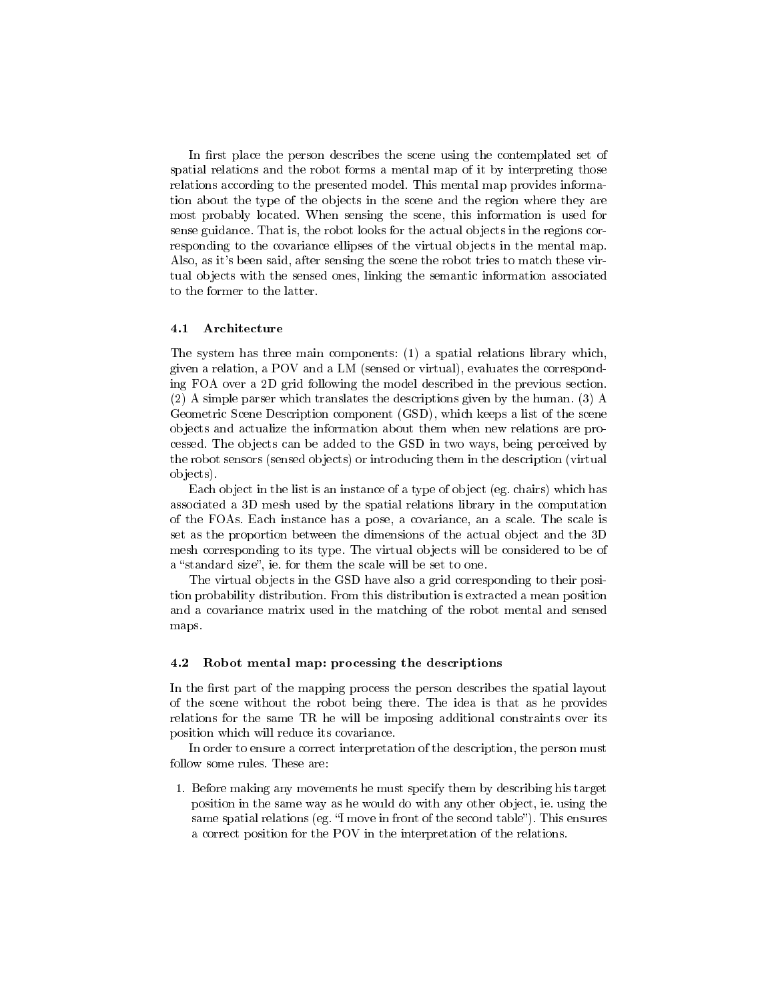In first place the person describes the scene using the contemplated set of spatial relations and the robot forms a mental map of it by interpreting those relations according to the presented model. This mental map provides information about the type of the objects in the scene and the region where they are most probably located. When sensing the scene, this information is used for sense guidance. That is, the robot looks for the actual objects in the regions corresponding to the covariance ellipses of the virtual objects in the mental map. Also, as it's been said, after sensing the scene the robot tries to match these virtual objects with the sensed ones, linking the semantic information associated to the former to the latter.

#### 4.1 Architecture

The system has three main components: (1) a spatial relations library which, given a relation, a POV and a LM (sensed or virtual), evaluates the corresponding FOA over a 2D grid following the model described in the previous section. (2) A simple parser which translates the descriptions given by the human. (3) A Geometric Scene Description component (GSD), which keeps a list of the scene objects and actualize the information about them when new relations are processed. The objects can be added to the GSD in two ways, being perceived by the robot sensors (sensed objects) or introducing them in the description (virtual objects).

Each object in the list is an instance of a type of object (eg. chairs) which has associated a 3D mesh used by the spatial relations library in the computation of the FOAs. Each instance has a pose, a covariance, an a scale. The scale is set as the proportion between the dimensions of the actual object and the 3D mesh corresponding to its type. The virtual objects will be considered to be of a "standard size", ie. for them the scale will be set to one.

The virtual objects in the GSD have also a grid corresponding to their position probability distribution. From this distribution is extracted a mean position and a covariance matrix used in the matching of the robot mental and sensed maps.

#### 4.2 Robot mental map: processing the descriptions

In the first part of the mapping process the person describes the spatial layout of the scene without the robot being there. The idea is that as he provides relations for the same TR he will be imposing additional constraints over its position which will reduce its covariance.

In order to ensure a correct interpretation of the description, the person must follow some rules. These are:

1. Before making any movements he must specify them by describing his target position in the same way as he would do with any other object, ie. using the same spatial relations (eg. "I move in front of the second table"). This ensures a correct position for the POV in the interpretation of the relations.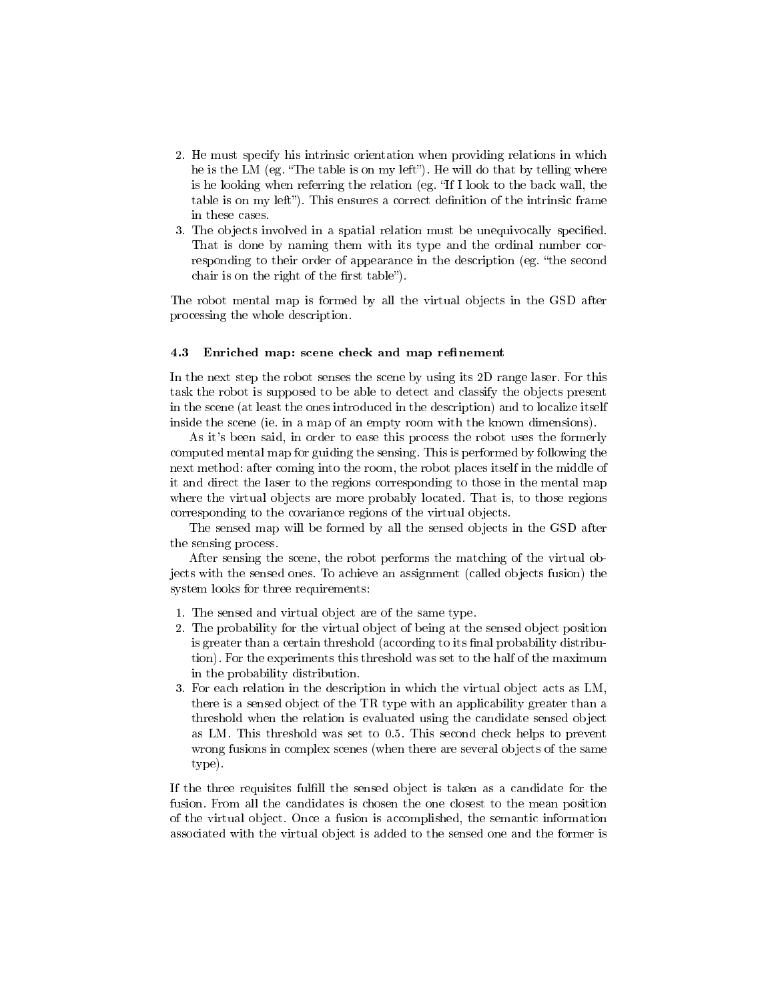- 2. He must specify his intrinsic orientation when providing relations in which he is the LM (eg. "The table is on my left"). He will do that by telling where is he looking when referring the relation (eg. "If I look to the back wall, the table is on my left"). This ensures a correct definition of the intrinsic frame in these cases.
- 3. The objects involved in a spatial relation must be unequivocally specified. That is done by naming them with its type and the ordinal number corresponding to their order of appearance in the description (eg. "the second chair is on the right of the first table").

The robot mental map is formed by all the virtual objects in the GSD after processing the whole description.

#### 4.3 Enriched map: scene check and map refinement

In the next step the robot senses the scene by using its 2D range laser. For this task the robot is supposed to be able to detect and classify the objects present in the scene (at least the ones introduced in the description) and to localize itself inside the scene (ie. in a map of an empty room with the known dimensions).

As it's been said, in order to ease this process the robot uses the formerly computed mental map for guiding the sensing. This is performed by following the next method: after coming into the room, the robot places itself in the middle of it and direct the laser to the regions corresponding to those in the mental map where the virtual objects are more probably located. That is, to those regions corresponding to the covariance regions of the virtual objects.

The sensed map will be formed by all the sensed objects in the GSD after the sensing process.

After sensing the scene, the robot performs the matching of the virtual objects with the sensed ones. To achieve an assignment (called objects fusion) the system looks for three requirements:

- 1. The sensed and virtual object are of the same type.
- 2. The probability for the virtual object of being at the sensed object position is greater than a certain threshold (according to its final probability distribution). For the experiments this threshold was set to the half of the maximum in the probability distribution.
- 3. For each relation in the description in which the virtual object acts as LM, there is a sensed object of the TR type with an applicability greater than a threshold when the relation is evaluated using the candidate sensed object as LM. This threshold was set to 0.5. This second check helps to prevent wrong fusions in complex scenes (when there are several objects of the same type).

If the three requisites fulfill the sensed object is taken as a candidate for the fusion. From all the candidates is chosen the one closest to the mean position of the virtual object. Once a fusion is accomplished, the semantic information associated with the virtual object is added to the sensed one and the former is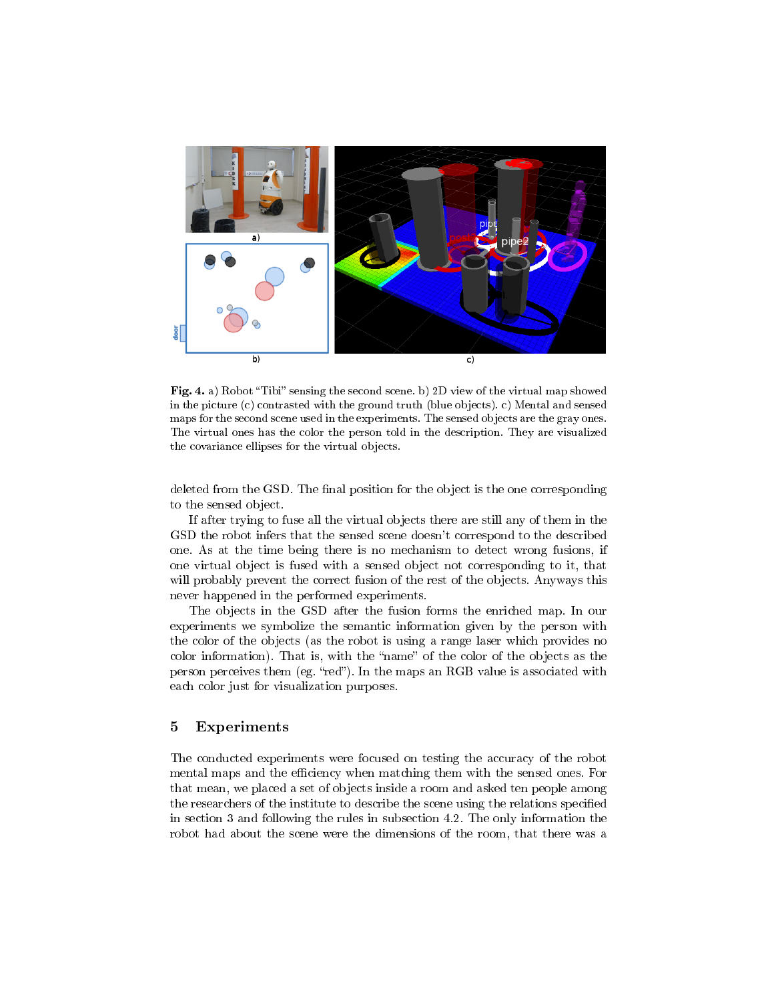

Fig. 4. a) Robot "Tibi" sensing the second scene. b) 2D view of the virtual map showed in the picture (c) contrasted with the ground truth (blue objects). c) Mental and sensed maps for the second scene used in the experiments. The sensed objects are the gray ones. The virtual ones has the color the person told in the description. They are visualized the covariance ellipses for the virtual objects.

deleted from the GSD. The final position for the object is the one corresponding to the sensed object.

If after trying to fuse all the virtual objects there are still any of them in the GSD the robot infers that the sensed scene doesn't correspond to the described one. As at the time being there is no mechanism to detect wrong fusions, if one virtual object is fused with a sensed object not corresponding to it, that will probably prevent the correct fusion of the rest of the objects. Anyways this never happened in the performed experiments.

The objects in the GSD after the fusion forms the enriched map. In our experiments we symbolize the semantic information given by the person with the color of the objects (as the robot is using a range laser which provides no color information). That is, with the "name" of the color of the objects as the person perceives them (eg. "red"). In the maps an RGB value is associated with each color just for visualization purposes.

### 5 Experiments

The conducted experiments were focused on testing the accuracy of the robot mental maps and the efficiency when matching them with the sensed ones. For that mean, we placed a set of objects inside a room and asked ten people among the researchers of the institute to describe the scene using the relations specified in section 3 and following the rules in subsection 4.2. The only information the robot had about the scene were the dimensions of the room, that there was a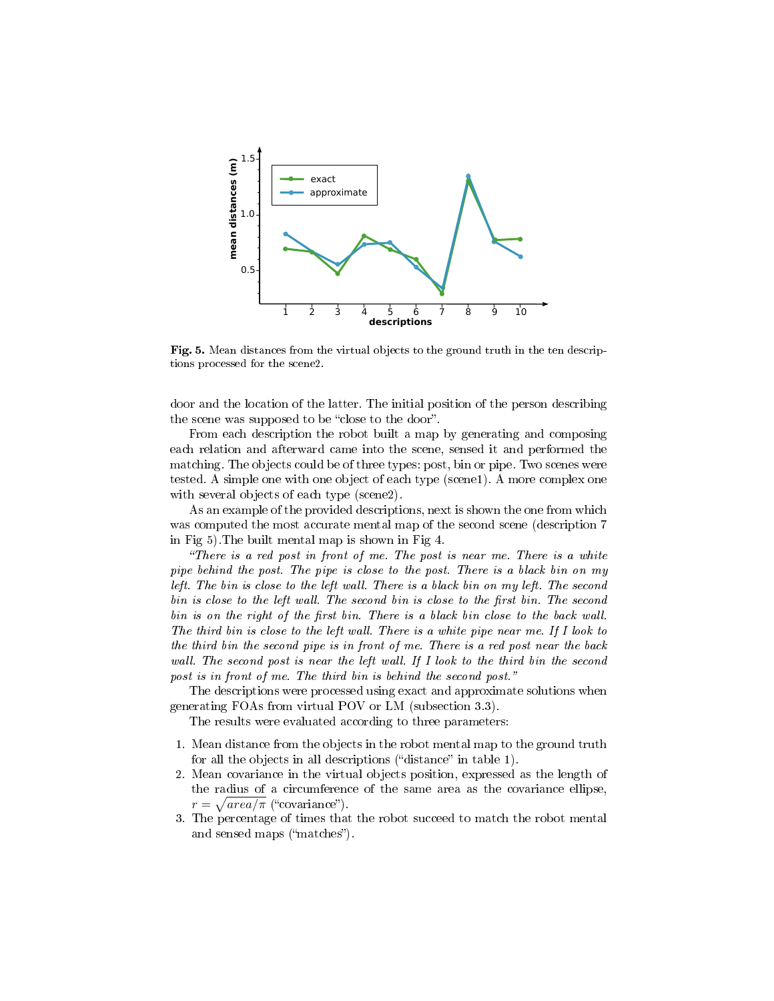

Fig. 5. Mean distances from the virtual objects to the ground truth in the ten descriptions processed for the scene2.

door and the location of the latter. The initial position of the person describing the scene was supposed to be "close to the door".

From each description the robot built a map by generating and composing each relation and afterward came into the scene, sensed it and performed the matching. The objects could be of three types: post, bin or pipe. Two scenes were tested. A simple one with one object of each type (scene1). A more complex one with several objects of each type (scene2).

As an example of the provided descriptions, next is shown the one from which was computed the most accurate mental map of the second scene (description 7 in Fig 5).The built mental map is shown in Fig 4.

There is a red post in front of me. The post is near me. There is a white pipe behind the post. The pipe is close to the post. There is a black bin on my left. The bin is close to the left wall. There is a black bin on my left. The second  $\frac{1}{2}$  bin is close to the left wall. The second bin is close to the first bin. The second bin is on the right of the first bin. There is a black bin close to the back wall. The third bin is close to the left wall. There is a white pipe near me. If I look to the third bin the second pipe is in front of me. There is a red post near the back wall. The second post is near the left wall. If I look to the third bin the second post is in front of me. The third bin is behind the second post."

The descriptions were processed using exact and approximate solutions when generating FOAs from virtual POV or LM (subsection 3.3).

The results were evaluated according to three parameters:

- 1. Mean distance from the objects in the robot mental map to the ground truth for all the objects in all descriptions ("distance" in table 1).
- 2. Mean covariance in the virtual objects position, expressed as the length of the radius of a circumference of the same area as the covariance ellipse,  $r = \sqrt{area/\pi}$  ("covariance").
- 3. The percentage of times that the robot succeed to match the robot mental and sensed maps ("matches").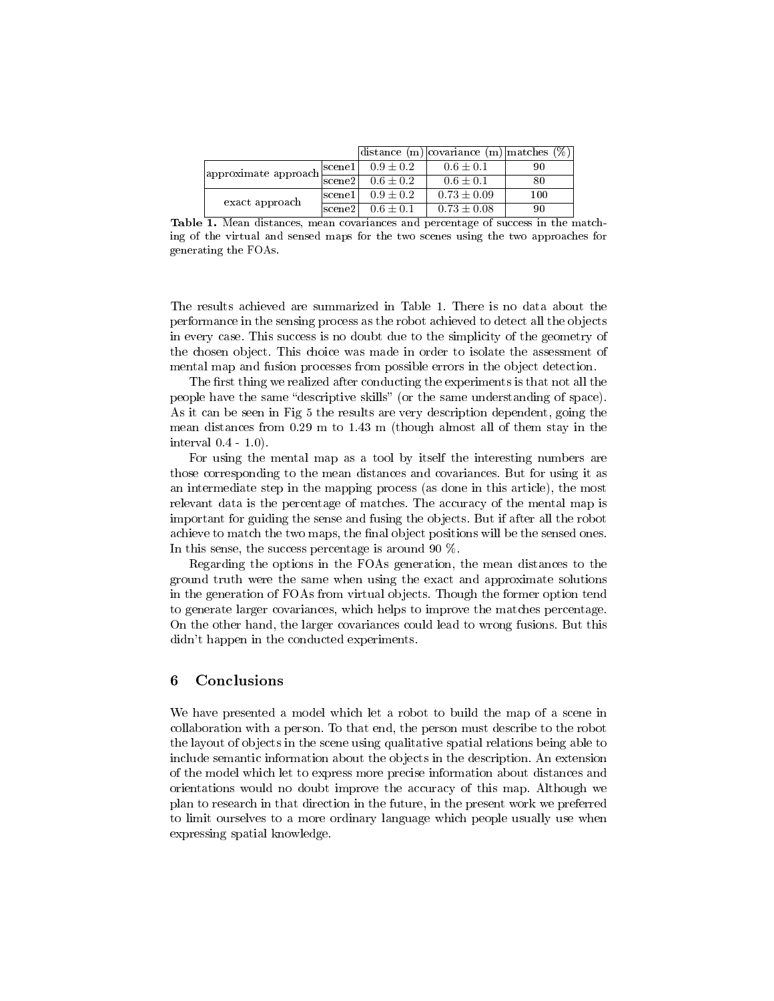|                      |                    |               | $\left  \text{distance } (m) \right $ covariance $\left  (m) \right $ matches $\left  (\%) \right $ |     |
|----------------------|--------------------|---------------|-----------------------------------------------------------------------------------------------------|-----|
| approximate approach | scene1             | $0.9 \pm 0.2$ | $0.6 \pm 0.1$                                                                                       | 90  |
|                      | scene <sub>2</sub> | $0.6 + 0.2$   | $0.6 \pm 0.1$                                                                                       | 80  |
| exact approach       | scene1             | $0.9 \pm 0.2$ | $0.73 \pm 0.09$                                                                                     | 100 |
|                      | scene2             | $0.6 + 0.1$   | $0.73 \pm 0.08$                                                                                     | 90  |

Table 1. Mean distances, mean covariances and percentage of success in the matching of the virtual and sensed maps for the two scenes using the two approaches for generating the FOAs.

The results achieved are summarized in Table 1. There is no data about the performance in the sensing process as the robot achieved to detect all the objects in every case. This success is no doubt due to the simplicity of the geometry of the chosen object. This choice was made in order to isolate the assessment of mental map and fusion processes from possible errors in the object detection.

The first thing we realized after conducting the experiments is that not all the people have the same "descriptive skills" (or the same understanding of space). As it can be seen in Fig 5 the results are very description dependent, going the mean distances from 0.29 m to 1.43 m (though almost all of them stay in the interval 0.4 - 1.0).

For using the mental map as a tool by itself the interesting numbers are those corresponding to the mean distances and covariances. But for using it as an intermediate step in the mapping process (as done in this article), the most relevant data is the percentage of matches. The accuracy of the mental map is important for guiding the sense and fusing the objects. But if after all the robot achieve to match the two maps, the final object positions will be the sensed ones. In this sense, the success percentage is around 90 %.

Regarding the options in the FOAs generation, the mean distances to the ground truth were the same when using the exact and approximate solutions in the generation of FOAs from virtual objects. Though the former option tend to generate larger covariances, which helps to improve the matches percentage. On the other hand, the larger covariances could lead to wrong fusions. But this didn't happen in the conducted experiments.

### 6 Conclusions

We have presented a model which let a robot to build the map of a scene in collaboration with a person. To that end, the person must describe to the robot the layout of objects in the scene using qualitative spatial relations being able to include semantic information about the objects in the description. An extension of the model which let to express more precise information about distances and orientations would no doubt improve the accuracy of this map. Although we plan to research in that direction in the future, in the present work we preferred to limit ourselves to a more ordinary language which people usually use when expressing spatial knowledge.